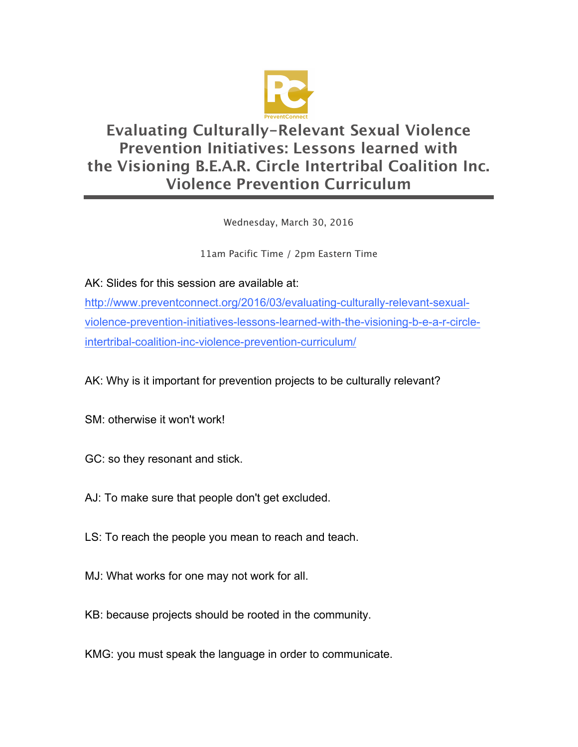

## **Evaluating Culturally-Relevant Sexual Violence Prevention Initiatives: Lessons learned with the Visioning B.E.A.R. Circle Intertribal Coalition Inc. Violence Prevention Curriculum**

Wednesday, March 30, 2016

11am Pacific Time / 2pm Eastern Time

AK: Slides for this session are available at:

http://www.preventconnect.org/2016/03/evaluating-culturally-relevant-sexualviolence-prevention-initiatives-lessons-learned-with-the-visioning-b-e-a-r-circleintertribal-coalition-inc-violence-prevention-curriculum/

AK: Why is it important for prevention projects to be culturally relevant?

SM: otherwise it won't work!

- GC: so they resonant and stick.
- AJ: To make sure that people don't get excluded.
- LS: To reach the people you mean to reach and teach.
- MJ: What works for one may not work for all.
- KB: because projects should be rooted in the community.

KMG: you must speak the language in order to communicate.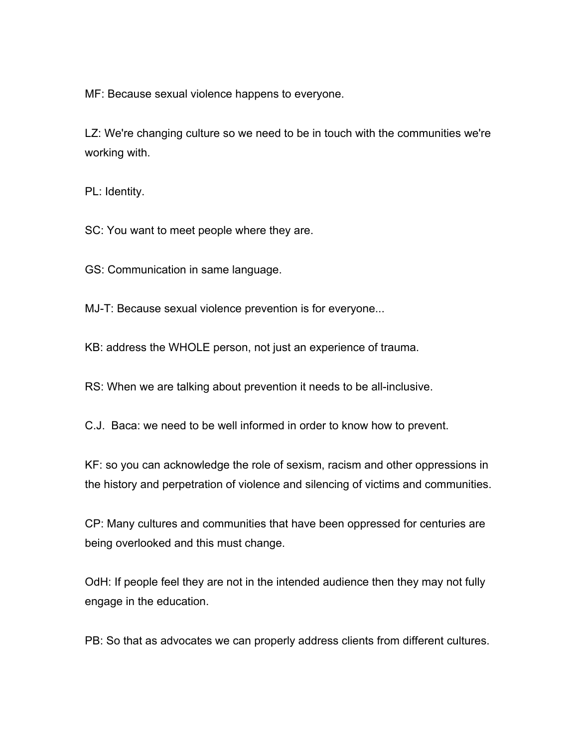MF: Because sexual violence happens to everyone.

LZ: We're changing culture so we need to be in touch with the communities we're working with.

PL: Identity.

SC: You want to meet people where they are.

GS: Communication in same language.

MJ-T: Because sexual violence prevention is for everyone...

KB: address the WHOLE person, not just an experience of trauma.

RS: When we are talking about prevention it needs to be all-inclusive.

C.J. Baca: we need to be well informed in order to know how to prevent.

KF: so you can acknowledge the role of sexism, racism and other oppressions in the history and perpetration of violence and silencing of victims and communities.

CP: Many cultures and communities that have been oppressed for centuries are being overlooked and this must change.

OdH: If people feel they are not in the intended audience then they may not fully engage in the education.

PB: So that as advocates we can properly address clients from different cultures.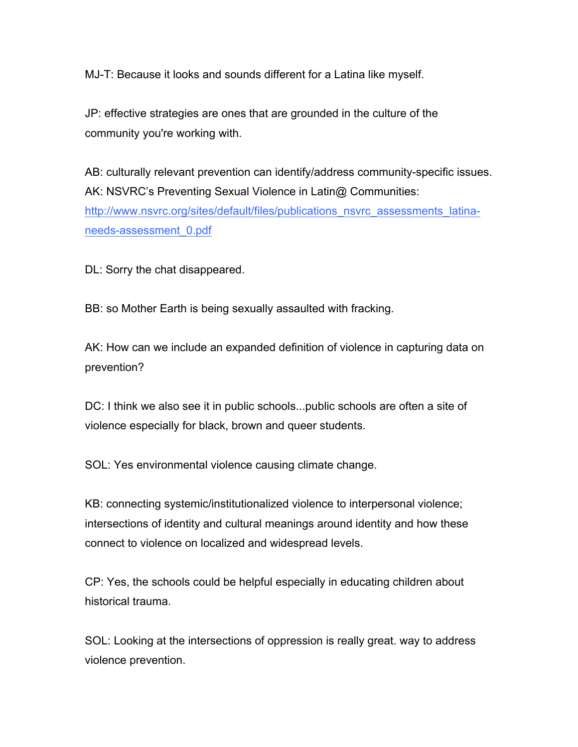MJ-T: Because it looks and sounds different for a Latina like myself.

JP: effective strategies are ones that are grounded in the culture of the community you're working with.

AB: culturally relevant prevention can identify/address community-specific issues. AK: NSVRC's Preventing Sexual Violence in Latin@ Communities: http://www.nsvrc.org/sites/default/files/publications\_nsvrc\_assessments\_latinaneeds-assessment\_0.pdf

DL: Sorry the chat disappeared.

BB: so Mother Earth is being sexually assaulted with fracking.

AK: How can we include an expanded definition of violence in capturing data on prevention?

DC: I think we also see it in public schools...public schools are often a site of violence especially for black, brown and queer students.

SOL: Yes environmental violence causing climate change.

KB: connecting systemic/institutionalized violence to interpersonal violence; intersections of identity and cultural meanings around identity and how these connect to violence on localized and widespread levels.

CP: Yes, the schools could be helpful especially in educating children about historical trauma.

SOL: Looking at the intersections of oppression is really great. way to address violence prevention.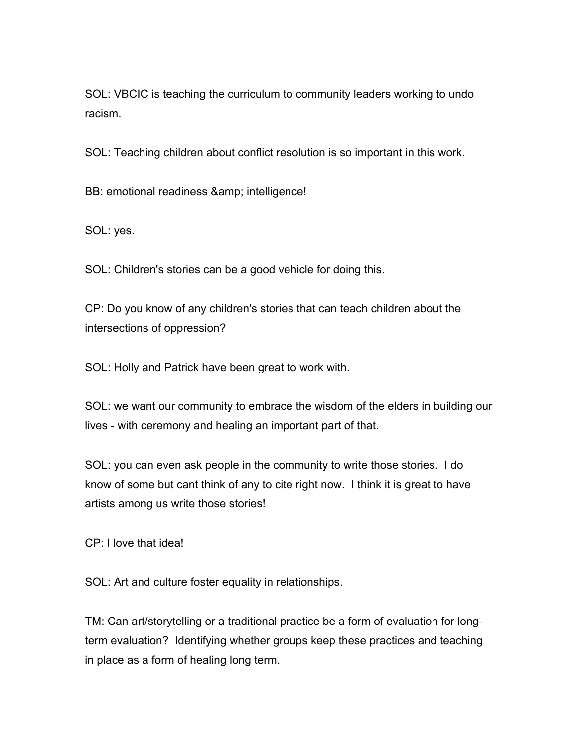SOL: VBCIC is teaching the curriculum to community leaders working to undo racism.

SOL: Teaching children about conflict resolution is so important in this work.

BB: emotional readiness & amp; intelligence!

SOL: yes.

SOL: Children's stories can be a good vehicle for doing this.

CP: Do you know of any children's stories that can teach children about the intersections of oppression?

SOL: Holly and Patrick have been great to work with.

SOL: we want our community to embrace the wisdom of the elders in building our lives - with ceremony and healing an important part of that.

SOL: you can even ask people in the community to write those stories. I do know of some but cant think of any to cite right now. I think it is great to have artists among us write those stories!

CP: I love that idea!

SOL: Art and culture foster equality in relationships.

TM: Can art/storytelling or a traditional practice be a form of evaluation for longterm evaluation? Identifying whether groups keep these practices and teaching in place as a form of healing long term.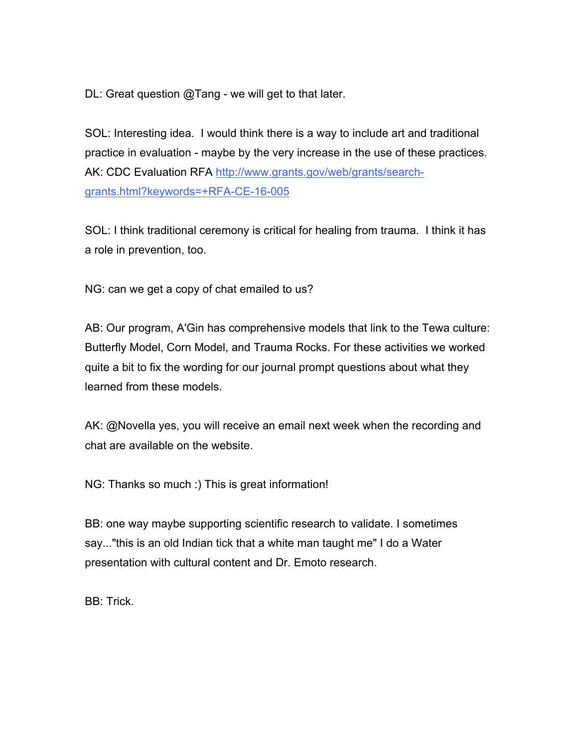DL: Great question @Tang - we will get to that later.

SOL: Interesting idea. I would think there is a way to include art and traditional practice in evaluation - maybe by the very increase in the use of these practices. AK: CDC Evaluation RFA http://www.grants.gov/web/grants/searchgrants.html?keywords=+RFA-CE-16-005

SOL: I think traditional ceremony is critical for healing from trauma. I think it has a role in prevention, too.

NG: can we get a copy of chat emailed to us?

AB: Our program, A'Gin has comprehensive models that link to the Tewa culture: Butterfly Model, Corn Model, and Trauma Rocks. For these activities we worked quite a bit to fix the wording for our journal prompt questions about what they learned from these models.

AK: @Novella yes, you will receive an email next week when the recording and chat are available on the website.

NG: Thanks so much :) This is great information!

BB: one way maybe supporting scientific research to validate. I sometimes say..."this is an old Indian tick that a white man taught me" I do a Water presentation with cultural content and Dr. Emoto research.

BB: Trick.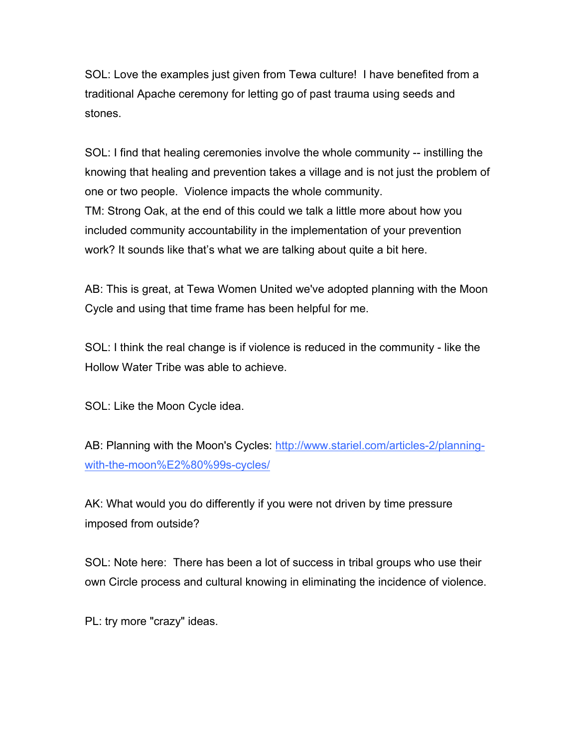SOL: Love the examples just given from Tewa culture! I have benefited from a traditional Apache ceremony for letting go of past trauma using seeds and stones.

SOL: I find that healing ceremonies involve the whole community -- instilling the knowing that healing and prevention takes a village and is not just the problem of one or two people. Violence impacts the whole community. TM: Strong Oak, at the end of this could we talk a little more about how you included community accountability in the implementation of your prevention work? It sounds like that's what we are talking about quite a bit here.

AB: This is great, at Tewa Women United we've adopted planning with the Moon Cycle and using that time frame has been helpful for me.

SOL: I think the real change is if violence is reduced in the community - like the Hollow Water Tribe was able to achieve.

SOL: Like the Moon Cycle idea.

AB: Planning with the Moon's Cycles: http://www.stariel.com/articles-2/planningwith-the-moon%E2%80%99s-cycles/

AK: What would you do differently if you were not driven by time pressure imposed from outside?

SOL: Note here: There has been a lot of success in tribal groups who use their own Circle process and cultural knowing in eliminating the incidence of violence.

PL: try more "crazy" ideas.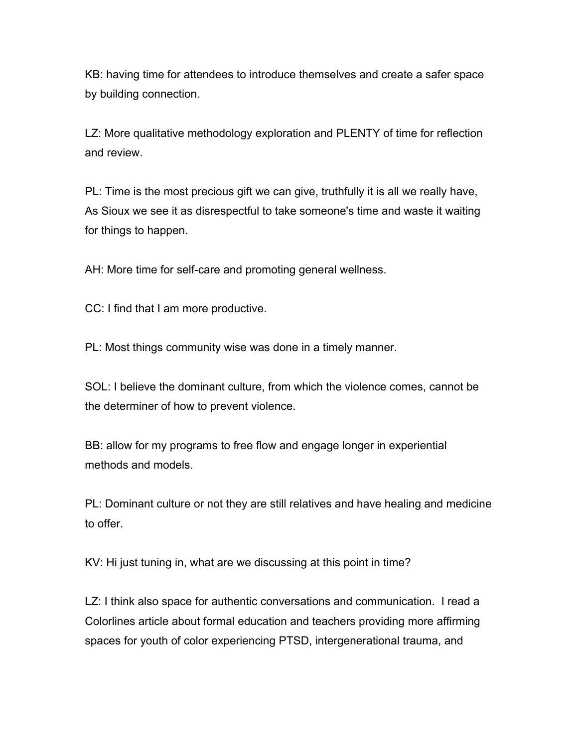KB: having time for attendees to introduce themselves and create a safer space by building connection.

LZ: More qualitative methodology exploration and PLENTY of time for reflection and review.

PL: Time is the most precious gift we can give, truthfully it is all we really have, As Sioux we see it as disrespectful to take someone's time and waste it waiting for things to happen.

AH: More time for self-care and promoting general wellness.

CC: I find that I am more productive.

PL: Most things community wise was done in a timely manner.

SOL: I believe the dominant culture, from which the violence comes, cannot be the determiner of how to prevent violence.

BB: allow for my programs to free flow and engage longer in experiential methods and models.

PL: Dominant culture or not they are still relatives and have healing and medicine to offer.

KV: Hi just tuning in, what are we discussing at this point in time?

LZ: I think also space for authentic conversations and communication. I read a Colorlines article about formal education and teachers providing more affirming spaces for youth of color experiencing PTSD, intergenerational trauma, and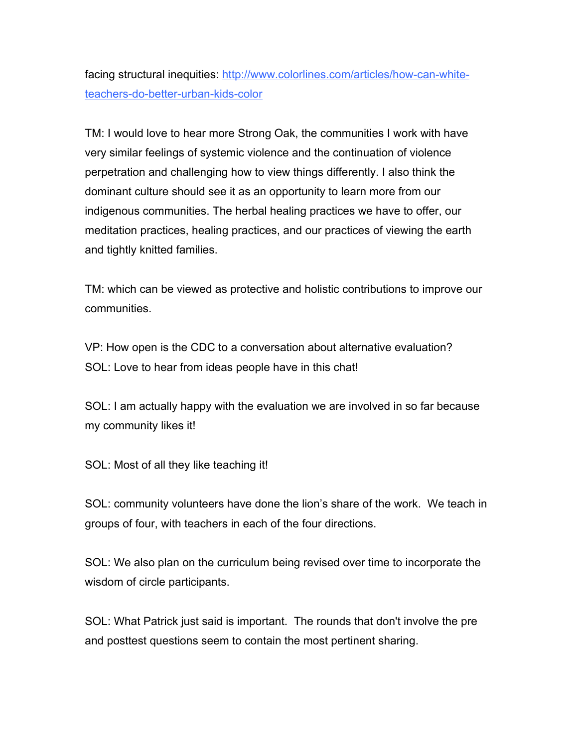facing structural inequities: http://www.colorlines.com/articles/how-can-whiteteachers-do-better-urban-kids-color

TM: I would love to hear more Strong Oak, the communities I work with have very similar feelings of systemic violence and the continuation of violence perpetration and challenging how to view things differently. I also think the dominant culture should see it as an opportunity to learn more from our indigenous communities. The herbal healing practices we have to offer, our meditation practices, healing practices, and our practices of viewing the earth and tightly knitted families.

TM: which can be viewed as protective and holistic contributions to improve our communities.

VP: How open is the CDC to a conversation about alternative evaluation? SOL: Love to hear from ideas people have in this chat!

SOL: I am actually happy with the evaluation we are involved in so far because my community likes it!

SOL: Most of all they like teaching it!

SOL: community volunteers have done the lion's share of the work. We teach in groups of four, with teachers in each of the four directions.

SOL: We also plan on the curriculum being revised over time to incorporate the wisdom of circle participants.

SOL: What Patrick just said is important. The rounds that don't involve the pre and posttest questions seem to contain the most pertinent sharing.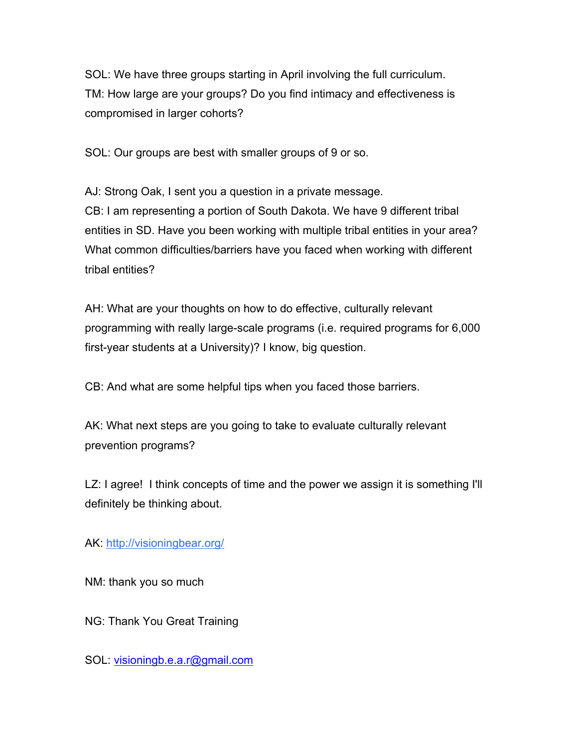SOL: We have three groups starting in April involving the full curriculum. TM: How large are your groups? Do you find intimacy and effectiveness is compromised in larger cohorts?

SOL: Our groups are best with smaller groups of 9 or so.

AJ: Strong Oak, I sent you a question in a private message. CB: I am representing a portion of South Dakota. We have 9 different tribal entities in SD. Have you been working with multiple tribal entities in your area? What common difficulties/barriers have you faced when working with different tribal entities?

AH: What are your thoughts on how to do effective, culturally relevant programming with really large-scale programs (i.e. required programs for 6,000 first-year students at a University)? I know, big question.

CB: And what are some helpful tips when you faced those barriers.

AK: What next steps are you going to take to evaluate culturally relevant prevention programs?

LZ: I agree! I think concepts of time and the power we assign it is something I'll definitely be thinking about.

AK: http://visioningbear.org/

NM: thank you so much

NG: Thank You Great Training

SOL: visioningb.e.a.r@gmail.com